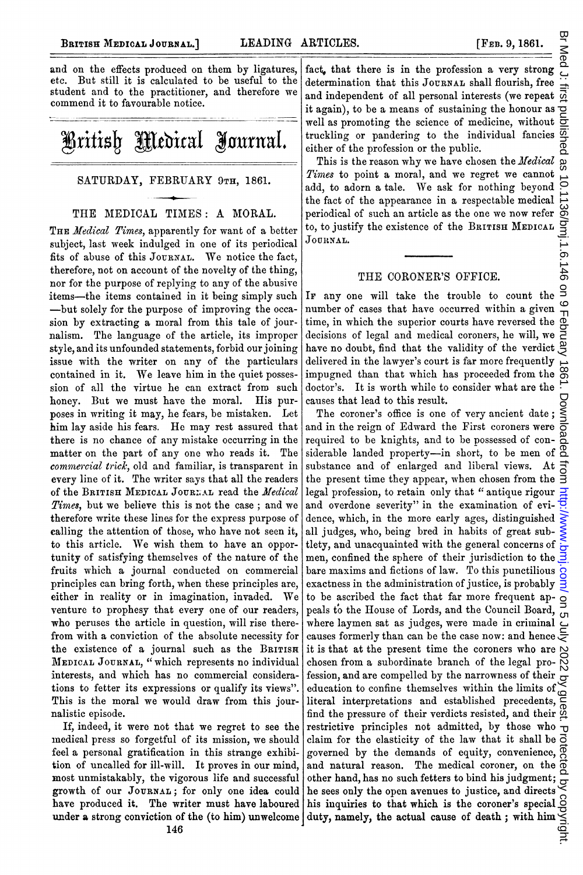and on the effects produced on them by ligatures, etc. But still it is calculated to be useful to the student and to the practitioner, and therefore we commend it to favourable notice.



## SATURDAY, FEBRUARY 9TH, 1861.

## THE MEDICAL TIMES: A MORAL.

THE Medical Times, apparently for want of a better subject, last week indulged in one of its periodical fits of abuse of this JOURNAL. We notice the fact, therefore, not on account of the novelty of the thing, nor for the purpose of replying to any of the abusive items-the items contained in it being simply such -but solely for the purpose of improving the occasion by extracting a moral from this tale of journalism. The language of the article, its improper style, and its unfounded statements, forbid our joining issue with the writer on any of the particulars contained in it. We leave him in the quiet possession of all the virtue he can extract from such honey. But we must have the moral. His purposes in writing it may, he fears, be mistaken. Let him lay aside his fears. He may rest assured that there is no chance of any mistake occurring in the matter on the part of any one who reads it. The commercial trick, old and familiar, is transparent in every line of it. The writer says that all the readers of the BRITISH MEDICAL JOURNAL read the Medical Times, but we believe this is not the case; and we therefore write these lines for the express purpose of calling the attention of those, who have not seen it, to this article. We wish them to have an opportunity of satisfying themselves of the nature of the fruits which a journal conducted on commercial principles can bring forth, when these principles are, either in reality or in imagination, invaded. We venture to prophesy that every one of our readers, who peruses the article in question, will rise therefrom with a conviction of the absolute necessity for the existence of a journal such as the BRITISH MEDICAL JOURNAL, "which represents no individual interests, and which has no commercial considerations to fetter its expressions or qualify its views". This is the moral we would draw from this journalistic episode.

If, indeed, it were not that we regret to see the medical press so forgetful of its mission, we should feel a personal gratification in this strange exhibition of uncalled for ill-will. It proves in our mind, most unmistakably, the vigorous life and successful growth of our JOURNAL; for only one idea could have produced it. The writer must have laboured under a strong conviction of the (to him) unwelcome

fact, that there is in the profession a very strong determination that this JOURNAL shall flourish, free and independent of all personal interests (we repeat it again), to be a means of sustaining the honour as ᅙ well as promoting the science of medicine, without truckling or pandering to the individual fancies either of the profession or the public. ā

This is the reason why we have chosen the Medical Times to point a moral, and we regret we cannot add, to adorn a tale. We ask for nothing beyond  $\overline{O}$ the fact of the appearance in a respectable medical 8g periodical of such an article as the one we now refer /bmj.1.6.146 to, to justify the existence of the BRITISH MEDICAL JOURNAL.

## THE CORONER'S OFFICE.

 $\overline{a}$ IF any one will take the trouble to count the  $\circ$ number of cases that have occurred within a given time, in which the superior courts have reversed the decisions of legal and medical coroners, he will, we have no doubt, find that the validity of the verdict delivered in the lawyer's court is far more frequently impugned than that which has proceeded from the  $\frac{30}{20}$ doctor's. It is worth while to consider what are the  $\overrightarrow{\cdot}$ causes that lead to this result.

Br Med J. first published as 10.1136/bmj.1.6.146 on 9 February 1861. Downloaded from <http://www.bmj.com/> on 5 July 2022 by guest. Protected by copyright. The coroner's office is one of very ancient date; and in the reign of Edward the First coroners were pag required to be knights, and to be possessed of considerable landed property-in short, to be men of  $\overline{6}$ substance and of enlarged and liberal views. At the present time they appear, when chosen from the  $\bar{B}$ legal profession, to retain only that "antique rigour and overdone severity" in the examination of evi- $\frac{1}{2}$ dence, which, in the more early ages, distinguished  $\geq$ all judges, who, being bred in habits of great subtlety, and unacquainted with the general concerns of men, confined the sphere of their jurisdiction to the  $\bar{3}$ bare maxims and fictions of law. To this punctilious  $\alpha$ exactness in the administration of justice, is probably  $\frac{3}{2}$ to be ascribed the fact that far more frequent ap- $\frac{1}{2}$ peals to the House of Lords, and the Council Board, Ōп where laymen sat as judges, were made in criminal  $\bar{c}$ causes formerly than can be the case now: and hence  $\subsetneq$ it is that at the present time the coroners who are  $\aleph$ chosen from a subordinate branch of the legal profession, and are compelled by the narrowness of their education to confine themselves within the limits of  $\infty$ literal interpretations and established precedents, find the pressure of their verdicts resisted, and their  $\frac{\omega}{2}$ restrictive principles not admitted, by those who  $\text{-}$ claim for the elasticity of the law that it shall be  $\overline{O}$ governed by the demands of equity, convenience, and natural reason. The medical coroner, on the  $\vec{\sigma}$ other hand, has no such fetters to bind his judgment; he sees only the open avenues to justice, and directs  $\leq$ his inquiries to that which is the coroner's special  $\leq$ duty, namely, the actual cause of death; with him  $\frac{C}{C}$ <br> $\frac{1}{C}$